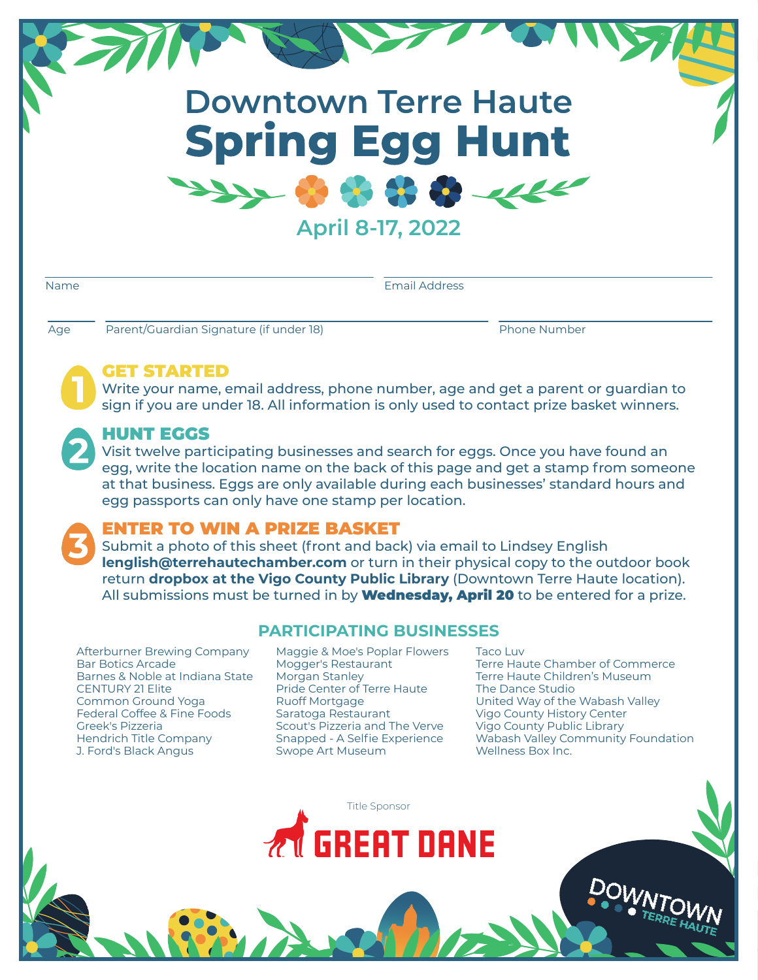# **Downtown Terre Haute Spring Egg Hunt**  $\mathcal{H} \times \mathcal{H}$

**April 8-17, 2022**

| ۰. |
|----|
|----|

Email Address

**1**

**1**

Age Parent/Guardian Signature (if under 18) Phone Number

### GET STARTED

Write your name, email address, phone number, age and get a parent or guardian to sign if you are under 18. All information is only used to contact prize basket winners.

#### HUNT EGGS

Visit twelve participating businesses and search for eggs. Once you have found an egg, write the location name on the back of this page and get a stamp from someone at that business. Eggs are only available during each businesses' standard hours and egg passports can only have one stamp per location.

## ENTER TO WIN A PRIZE BASKET

Submit a photo of this sheet (front and back) via email to Lindsey English **lenglish@terrehautechamber.com** or turn in their physical copy to the outdoor book return **dropbox at the Vigo County Public Library** (Downtown Terre Haute location). All submissions must be turned in by **Wednesday, April 20** to be entered for a prize.

Afterburner Brewing Company Bar Botics Arcade Barnes & Noble at Indiana State CENTURY 21 Elite Common Ground Yoga Federal Coffee & Fine Foods Greek's Pizzeria Hendrich Title Company J. Ford's Black Angus

## **PARTICIPATING BUSINESSES**

Maggie & Moe's Poplar Flowers Mogger's Restaurant Morgan Stanley Pride Center of Terre Haute Ruoff Mortgage Saratoga Restaurant Scout's Pizzeria and The Verve Snapped - A Selfie Experience Swope Art Museum

Taco Luv Terre Haute Chamber of Commerce Terre Haute Children's Museum The Dance Studio United Way of the Wabash Valley Vigo County History Center Vigo County Public Library Wabash Valley Community Foundation Wellness Box Inc.